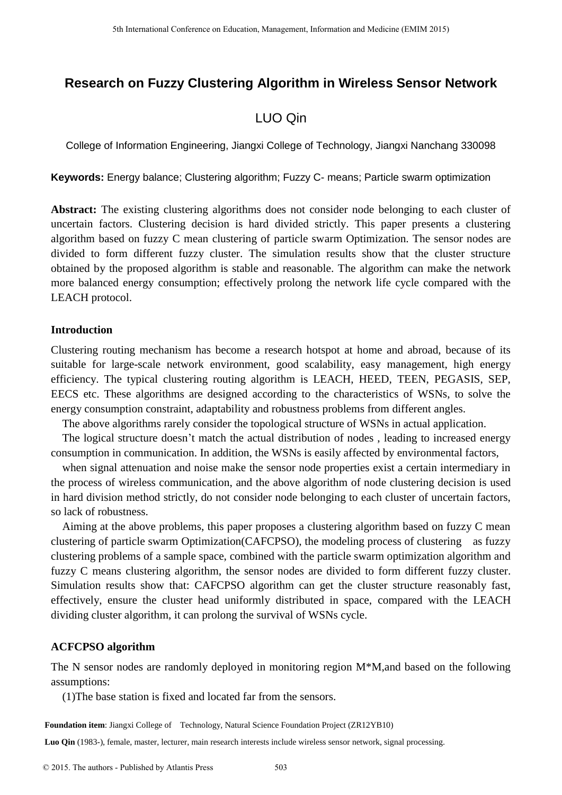# **Research on Fuzzy Clustering Algorithm in Wireless Sensor Network**

## LUO Qin

College of Information Engineering, Jiangxi College of Technology, Jiangxi Nanchang 330098

**Keywords:** Energy balance; Clustering algorithm; Fuzzy C- means; Particle swarm optimization

**Abstract:** The existing clustering algorithms does not consider node belonging to each cluster of uncertain factors. Clustering decision is hard divided strictly. This paper presents a clustering algorithm based on fuzzy C mean clustering of particle swarm Optimization. The sensor nodes are divided to form different fuzzy cluster. The simulation results show that the cluster structure obtained by the proposed algorithm is stable and reasonable. The algorithm can make the network more balanced energy consumption; effectively prolong the network life cycle compared with the LEACH protocol.

#### **Introduction**

Clustering routing mechanism has become a research hotspot at home and abroad, because of its suitable for large-scale network environment, good scalability, easy management, high energy efficiency. The typical clustering routing algorithm is LEACH, HEED, TEEN, PEGASIS, SEP, EECS etc. These algorithms are designed according to the characteristics of WSNs, to solve the energy consumption constraint, adaptability and robustness problems from different angles.

The above algorithms rarely consider the topological structure of WSNs in actual application.

The logical structure doesn't match the actual distribution of nodes , leading to increased energy consumption in communication. In addition, the WSNs is easily affected by environmental factors,

when signal attenuation and noise make the sensor node properties exist a certain intermediary in the process of wireless communication, and the above algorithm of node clustering decision is used in hard division method strictly, do not consider node belonging to each cluster of uncertain factors, so lack of robustness.

Aiming at the above problems, this paper proposes a clustering algorithm based on fuzzy C mean clustering of particle swarm Optimization(CAFCPSO), the modeling process of clustering as fuzzy clustering problems of a sample space, combined with the particle swarm optimization algorithm and fuzzy C means clustering algorithm, the sensor nodes are divided to form different fuzzy cluster. Simulation results show that: CAFCPSO algorithm can get the cluster structure reasonably fast, effectively, ensure the cluster head uniformly distributed in space, compared with the LEACH dividing cluster algorithm, it can prolong the survival of WSNs cycle.

### **ACFCPSO algorithm**

The N sensor nodes are randomly deployed in monitoring region M\*M,and based on the following assumptions:

(1)The base station is fixed and located far from the sensors.

**Foundation item**: Jiangxi College of Technology, Natural Science Foundation Project (ZR12YB10)

**Luo Qin** (1983-), female, master, lecturer, main research interests include wireless sensor network, signal processing.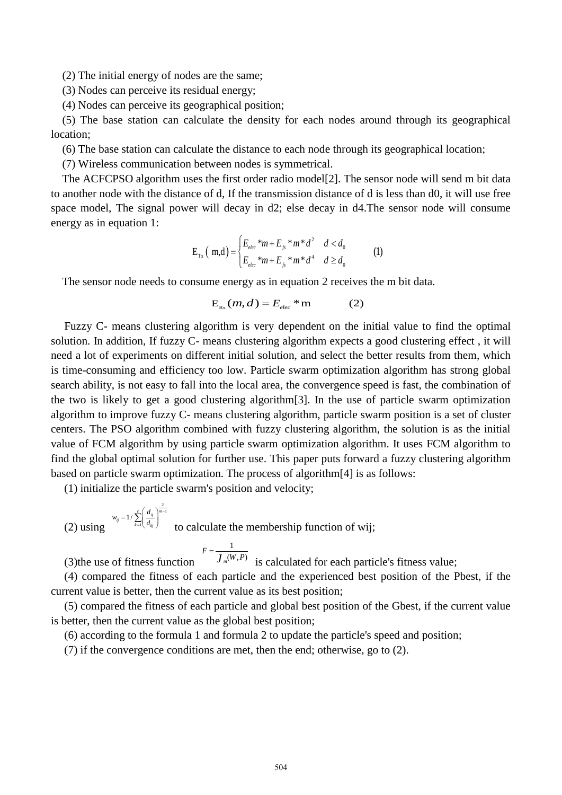(2) The initial energy of nodes are the same;

(3) Nodes can perceive its residual energy;

(4) Nodes can perceive its geographical position;

(5) The base station can calculate the density for each nodes around through its geographical location;

(6) The base station can calculate the distance to each node through its geographical location;

(7) Wireless communication between nodes is symmetrical.

The ACFCPSO algorithm uses the first order radio model[2]. The sensor node will send m bit data to another node with the distance of d, If the transmission distance of d is less than d0, it will use free space model, The signal power will decay in d2; else decay in d4.The sensor node will consume energy as in equation 1:

$$
E_{Tx} (m,d) = \begin{cases} E_{elec} * m + E_{fs} * m * d^2 & d < d_0 \\ E_{elec} * m + E_{fs} * m * d^4 & d \ge d_0 \end{cases}
$$
 (1)

The sensor node needs to consume energy as in equation 2 receives the m bit data.

$$
E_{\text{Rx}}(m,d) = E_{\text{elec}} \cdot m \tag{2}
$$

Fuzzy C- means clustering algorithm is very dependent on the initial value to find the optimal solution. In addition, If fuzzy C- means clustering algorithm expects a good clustering effect , it will need a lot of experiments on different initial solution, and select the better results from them, which is time-consuming and efficiency too low. Particle swarm optimization algorithm has strong global search ability, is not easy to fall into the local area, the convergence speed is fast, the combination of the two is likely to get a good clustering algorithm[3]. In the use of particle swarm optimization algorithm to improve fuzzy C- means clustering algorithm, particle swarm position is a set of cluster centers. The PSO algorithm combined with fuzzy clustering algorithm, the solution is as the initial value of FCM algorithm by using particle swarm optimization algorithm. It uses FCM algorithm to find the global optimal solution for further use. This paper puts forward a fuzzy clustering algorithm based on particle swarm optimization. The process of algorithm[4] is as follows:

(1) initialize the particle swarm's position and velocity;

(2) using  $\frac{2}{1}$  $c_{ij} = 1 / \sum_{k=1}^{c} \left( \frac{d_{ij}}{d_{kj}} \right)^m$  $w_{ij} = 1 / \sum_{k=1}^{c} \left( \frac{d}{d} \right)$ i,  $=$  $=1/\sum_{k=1}^{c} \left(\frac{d_{ij}}{d_{kj}}\right)^{m}$ to calculate the membership function of wij;

(3)the use of fitness function 1  $_m(W, P)$  $F = \frac{1}{J_m(W, P)}$ 

is calculated for each particle's fitness value;

(4) compared the fitness of each particle and the experienced best position of the Pbest, if the current value is better, then the current value as its best position;

(5) compared the fitness of each particle and global best position of the Gbest, if the current value is better, then the current value as the global best position;

(6) according to the formula 1 and formula 2 to update the particle's speed and position;

(7) if the convergence conditions are met, then the end; otherwise, go to (2).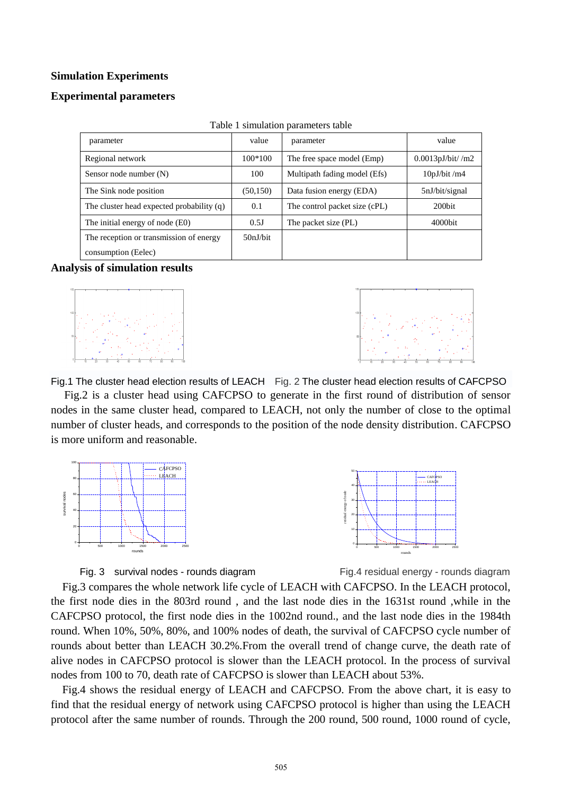#### **Simulation Experiments**

#### **Experimental parameters**

| parameter                                 | value     | parameter                     | value               |
|-------------------------------------------|-----------|-------------------------------|---------------------|
| Regional network                          | $100*100$ | The free space model (Emp)    | $0.0013pJ/bit/$ /m2 |
| Sensor node number (N)                    | 100       | Multipath fading model (Efs)  | $10pJ/b$ it /m4     |
| The Sink node position                    | (50, 150) | Data fusion energy (EDA)      | 5nJ/bit/signal      |
| The cluster head expected probability (q) | 0.1       | The control packet size (cPL) | 200 <sub>bit</sub>  |
| The initial energy of node (E0)           | 0.5J      | The packet size (PL)          | 4000bit             |
| The reception or transmission of energy   | 50nJ/bit  |                               |                     |
| consumption (Eelec)                       |           |                               |                     |

| Table 1 simulation parameters table |  |
|-------------------------------------|--|
|-------------------------------------|--|

## **Analysis of simulation results**





Fig.1 The cluster head election results of LEACH Fig. 2 The cluster head election results of CAFCPSO Fig.2 is a cluster head using CAFCPSO to generate in the first round of distribution of sensor nodes in the same cluster head, compared to LEACH, not only the number of close to the optimal number of cluster heads, and corresponds to the position of the node density distribution. CAFCPSO is more uniform and reasonable.





Fig. 3 survival nodes - rounds diagram Fig.4 residual energy - rounds diagram

Fig.3 compares the whole network life cycle of LEACH with CAFCPSO. In the LEACH protocol, the first node dies in the 803rd round , and the last node dies in the 1631st round ,while in the CAFCPSO protocol, the first node dies in the 1002nd round., and the last node dies in the 1984th round. When 10%, 50%, 80%, and 100% nodes of death, the survival of CAFCPSO cycle number of rounds about better than LEACH 30.2%.From the overall trend of change curve, the death rate of alive nodes in CAFCPSO protocol is slower than the LEACH protocol. In the process of survival nodes from 100 to 70, death rate of CAFCPSO is slower than LEACH about 53%.

Fig.4 shows the residual energy of LEACH and CAFCPSO. From the above chart, it is easy to find that the residual energy of network using CAFCPSO protocol is higher than using the LEACH protocol after the same number of rounds. Through the 200 round, 500 round, 1000 round of cycle,